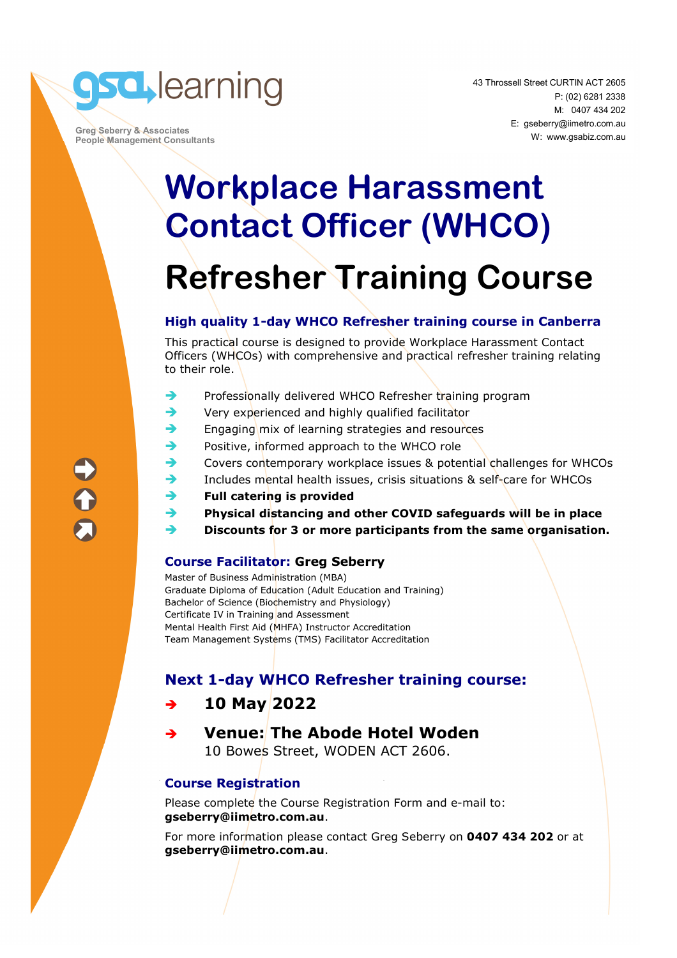

 **Greg Seberry & Associates People Management Consultants** 

# **Workplace Harassment Contact Officer (WHCO) Refresher Training Course**

#### **High quality 1-day WHCO Refresher training course in Canberra**

This practical course is designed to provide Workplace Harassment Contact Officers (WHCOs) with comprehensive and practical refresher training relating to their role.

- $\rightarrow$  Professionally delivered WHCO Refresher training program
- $\rightarrow$  Very experienced and highly qualified facilitator
- $\rightarrow$  Engaging mix of learning strategies and resources
- Positive, informed approach to the WHCO role
- Covers contemporary workplace issues & potential challenges for WHCOs
- Includes mental health issues, crisis situations & self-care for WHCOs
- **Full catering is provided**
- **Physical distancing and other COVID safeguards will be in place**
- **Discounts for 3 or more participants from the same organisation.**

#### **Course Facilitator: Greg Seberry**

Master of Business Administration (MBA) Graduate Diploma of Education (Adult Education and Training) Bachelor of Science (Biochemistry and Physiology) Certificate IV in Training and Assessment Mental Health First Aid (MHFA) Instructor Accreditation Team Management Systems (TMS) Facilitator Accreditation

#### **Next 1-day WHCO Refresher training course:**

#### **10 May 2022**

### **Venue: The Abode Hotel Woden**

10 Bowes Street, WODEN ACT 2606.

#### **Course Registration**

Please complete the Course Registration Form and e-mail to: **gseberry@iimetro.com.au**.

For more information please contact Greg Seberry on **0407 434 202** or at **gseberry@iimetro.com.au**.